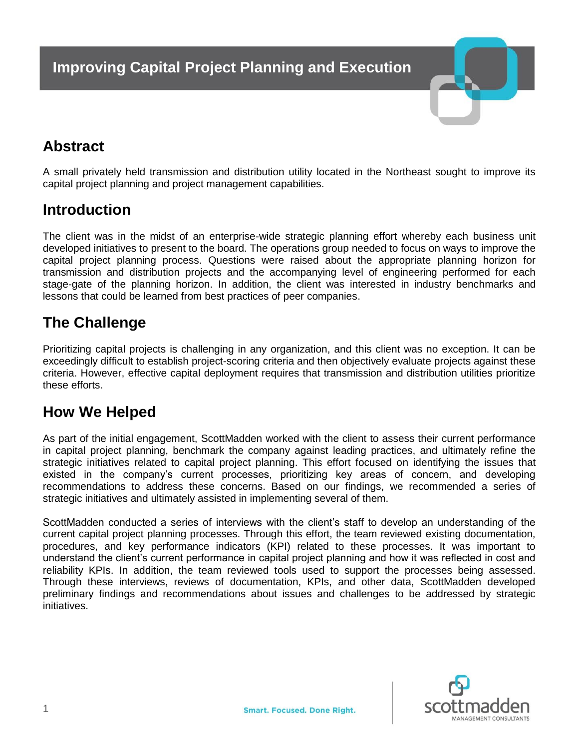

# **Abstract**

A small privately held transmission and distribution utility located in the Northeast sought to improve its capital project planning and project management capabilities.

## **Introduction**

The client was in the midst of an enterprise-wide strategic planning effort whereby each business unit developed initiatives to present to the board. The operations group needed to focus on ways to improve the capital project planning process. Questions were raised about the appropriate planning horizon for transmission and distribution projects and the accompanying level of engineering performed for each stage-gate of the planning horizon. In addition, the client was interested in industry benchmarks and lessons that could be learned from best practices of peer companies.

# **The Challenge**

Prioritizing capital projects is challenging in any organization, and this client was no exception. It can be exceedingly difficult to establish project-scoring criteria and then objectively evaluate projects against these criteria. However, effective capital deployment requires that transmission and distribution utilities prioritize these efforts.

## **How We Helped**

As part of the initial engagement, ScottMadden worked with the client to assess their current performance in capital project planning, benchmark the company against leading practices, and ultimately refine the strategic initiatives related to capital project planning. This effort focused on identifying the issues that existed in the company's current processes, prioritizing key areas of concern, and developing recommendations to address these concerns. Based on our findings, we recommended a series of strategic initiatives and ultimately assisted in implementing several of them.

ScottMadden conducted a series of interviews with the client's staff to develop an understanding of the current capital project planning processes. Through this effort, the team reviewed existing documentation, procedures, and key performance indicators (KPI) related to these processes. It was important to understand the client's current performance in capital project planning and how it was reflected in cost and reliability KPIs. In addition, the team reviewed tools used to support the processes being assessed. Through these interviews, reviews of documentation, KPIs, and other data, ScottMadden developed preliminary findings and recommendations about issues and challenges to be addressed by strategic initiatives.

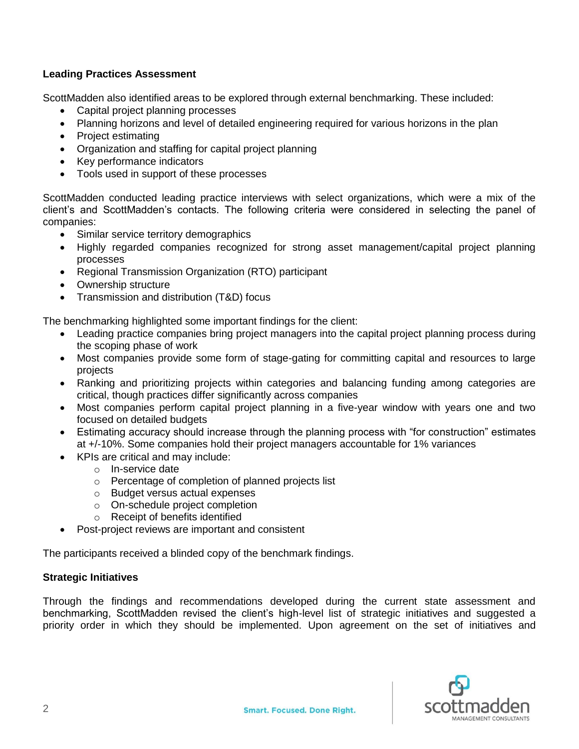#### **Leading Practices Assessment**

ScottMadden also identified areas to be explored through external benchmarking. These included:

- Capital project planning processes
- Planning horizons and level of detailed engineering required for various horizons in the plan
- Project estimating
- Organization and staffing for capital project planning
- Key performance indicators
- Tools used in support of these processes

ScottMadden conducted leading practice interviews with select organizations, which were a mix of the client's and ScottMadden's contacts. The following criteria were considered in selecting the panel of companies:

- Similar service territory demographics
- Highly regarded companies recognized for strong asset management/capital project planning processes
- Regional Transmission Organization (RTO) participant
- Ownership structure
- Transmission and distribution (T&D) focus

The benchmarking highlighted some important findings for the client:

- Leading practice companies bring project managers into the capital project planning process during the scoping phase of work
- Most companies provide some form of stage-gating for committing capital and resources to large projects
- Ranking and prioritizing projects within categories and balancing funding among categories are critical, though practices differ significantly across companies
- Most companies perform capital project planning in a five-year window with years one and two focused on detailed budgets
- Estimating accuracy should increase through the planning process with "for construction" estimates at +/-10%. Some companies hold their project managers accountable for 1% variances
- KPIs are critical and may include:
	- o In-service date
	- o Percentage of completion of planned projects list
	- o Budget versus actual expenses
	- o On-schedule project completion
	- o Receipt of benefits identified
- Post-project reviews are important and consistent

The participants received a blinded copy of the benchmark findings.

#### **Strategic Initiatives**

Through the findings and recommendations developed during the current state assessment and benchmarking, ScottMadden revised the client's high-level list of strategic initiatives and suggested a priority order in which they should be implemented. Upon agreement on the set of initiatives and

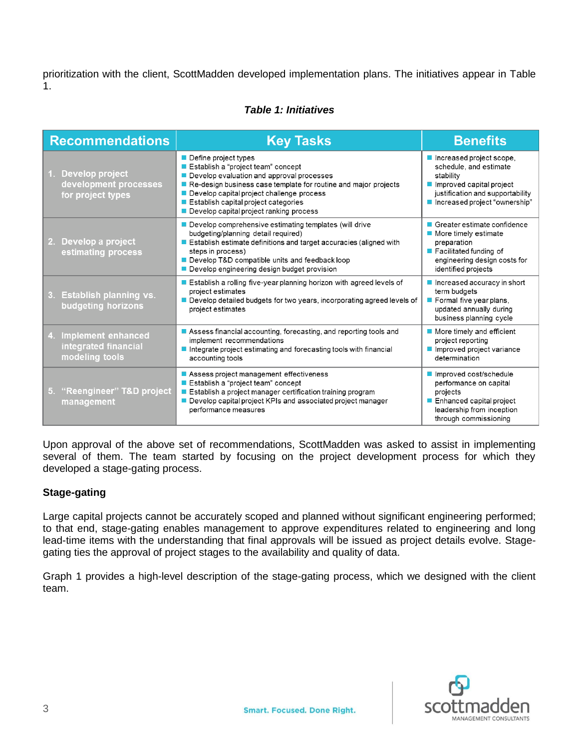prioritization with the client, ScottMadden developed implementation plans. The initiatives appear in Table 1.

#### *Table 1: Initiatives*

| <b>Recommendations</b>                                                    | <b>Key Tasks</b>                                                                                                                                                                                                                                                                                                        | <b>Benefits</b>                                                                                                                                                                   |
|---------------------------------------------------------------------------|-------------------------------------------------------------------------------------------------------------------------------------------------------------------------------------------------------------------------------------------------------------------------------------------------------------------------|-----------------------------------------------------------------------------------------------------------------------------------------------------------------------------------|
| <b>Develop project</b><br>development processes<br>for project types      | Define project types<br>Establish a "project team" concept<br>Develop evaluation and approval processes<br>Re-design business case template for routine and major projects<br>Develop capital project challenge process<br>Establish capital project categories<br>Develop capital project ranking process              | Increased project scope,<br>schedule, and estimate<br>stability<br>$\blacksquare$ Improved capital project<br>justification and supportability<br>■ Increased project "ownership" |
| Develop a project<br>2.<br>estimating process                             | $\blacksquare$ Develop comprehensive estimating templates (will drive<br>budgeting/planning detail required)<br>$\blacksquare$ Establish estimate definitions and target accuracies (aligned with<br>steps in process)<br>Develop T&D compatible units and feedback loop<br>Develop engineering design budget provision | ■ Greater estimate confidence<br>■ More timely estimate<br>preparation<br>$\blacksquare$ Facilitated funding of<br>engineering design costs for<br>identified projects            |
| <b>Establish planning vs.</b><br>3.<br>budgeting horizons                 | $\blacksquare$ Establish a rolling five-year planning horizon with agreed levels of<br>project estimates<br>Develop detailed budgets for two years, incorporating agreed levels of<br>project estimates                                                                                                                 | $\blacksquare$ Increased accuracy in short<br>term budgets<br>Formal five year plans,<br>updated annually during<br>business planning cycle                                       |
| <b>Implement enhanced</b><br>4.<br>integrated financial<br>modeling tools | Assess financial accounting, forecasting, and reporting tools and<br>implement recommendations<br>$\blacksquare$ Integrate project estimating and forecasting tools with financial<br>accounting tools                                                                                                                  | $\blacksquare$ More timely and efficient<br>project reporting<br>Improved project variance<br>determination                                                                       |
| "Reengineer" T&D project<br>5.<br>management                              | Assess project management effectiveness<br>Establish a "project team" concept<br>■ Establish a project manager certification training program<br>Develop capital project KPIs and associated project manager<br>performance measures                                                                                    | Improved cost/schedule<br>performance on capital<br>projects<br>■ Enhanced capital project<br>leadership from inception<br>through commissioning                                  |

Upon approval of the above set of recommendations, ScottMadden was asked to assist in implementing several of them. The team started by focusing on the project development process for which they developed a stage-gating process.

#### **Stage-gating**

Large capital projects cannot be accurately scoped and planned without significant engineering performed; to that end, stage-gating enables management to approve expenditures related to engineering and long lead-time items with the understanding that final approvals will be issued as project details evolve. Stagegating ties the approval of project stages to the availability and quality of data.

Graph 1 provides a high-level description of the stage-gating process, which we designed with the client team.

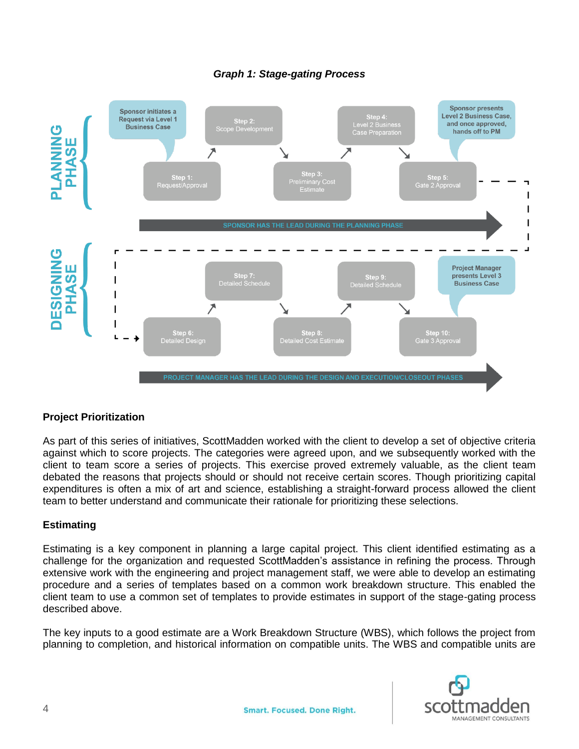

#### *Graph 1: Stage-gating Process*

#### **Project Prioritization**

As part of this series of initiatives, ScottMadden worked with the client to develop a set of objective criteria against which to score projects. The categories were agreed upon, and we subsequently worked with the client to team score a series of projects. This exercise proved extremely valuable, as the client team debated the reasons that projects should or should not receive certain scores. Though prioritizing capital expenditures is often a mix of art and science, establishing a straight-forward process allowed the client team to better understand and communicate their rationale for prioritizing these selections.

#### **Estimating**

Estimating is a key component in planning a large capital project. This client identified estimating as a challenge for the organization and requested ScottMadden's assistance in refining the process. Through extensive work with the engineering and project management staff, we were able to develop an estimating procedure and a series of templates based on a common work breakdown structure. This enabled the client team to use a common set of templates to provide estimates in support of the stage-gating process described above.

The key inputs to a good estimate are a Work Breakdown Structure (WBS), which follows the project from planning to completion, and historical information on compatible units. The WBS and compatible units are

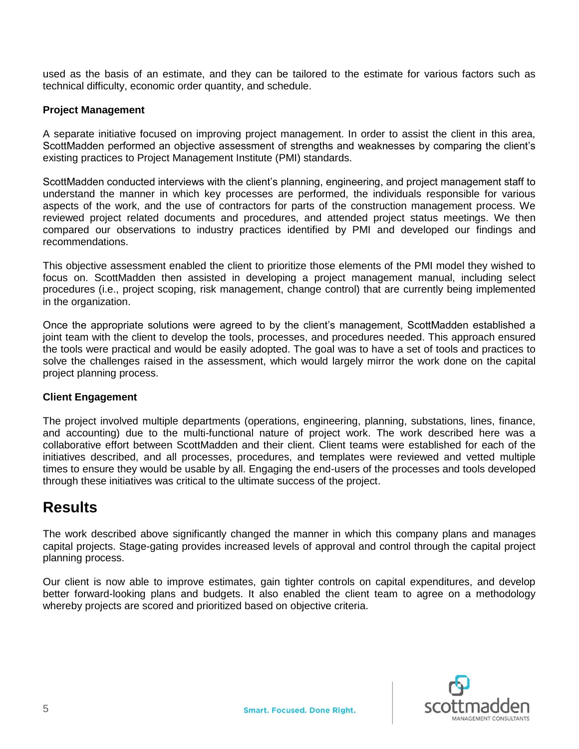used as the basis of an estimate, and they can be tailored to the estimate for various factors such as technical difficulty, economic order quantity, and schedule.

#### **Project Management**

A separate initiative focused on improving project management. In order to assist the client in this area, ScottMadden performed an objective assessment of strengths and weaknesses by comparing the client's existing practices to Project Management Institute (PMI) standards.

ScottMadden conducted interviews with the client's planning, engineering, and project management staff to understand the manner in which key processes are performed, the individuals responsible for various aspects of the work, and the use of contractors for parts of the construction management process. We reviewed project related documents and procedures, and attended project status meetings. We then compared our observations to industry practices identified by PMI and developed our findings and recommendations.

This objective assessment enabled the client to prioritize those elements of the PMI model they wished to focus on. ScottMadden then assisted in developing a project management manual, including select procedures (i.e., project scoping, risk management, change control) that are currently being implemented in the organization.

Once the appropriate solutions were agreed to by the client's management, ScottMadden established a joint team with the client to develop the tools, processes, and procedures needed. This approach ensured the tools were practical and would be easily adopted. The goal was to have a set of tools and practices to solve the challenges raised in the assessment, which would largely mirror the work done on the capital project planning process.

#### **Client Engagement**

The project involved multiple departments (operations, engineering, planning, substations, lines, finance, and accounting) due to the multi-functional nature of project work. The work described here was a collaborative effort between ScottMadden and their client. Client teams were established for each of the initiatives described, and all processes, procedures, and templates were reviewed and vetted multiple times to ensure they would be usable by all. Engaging the end-users of the processes and tools developed through these initiatives was critical to the ultimate success of the project.

### **Results**

The work described above significantly changed the manner in which this company plans and manages capital projects. Stage-gating provides increased levels of approval and control through the capital project planning process.

Our client is now able to improve estimates, gain tighter controls on capital expenditures, and develop better forward-looking plans and budgets. It also enabled the client team to agree on a methodology whereby projects are scored and prioritized based on objective criteria.